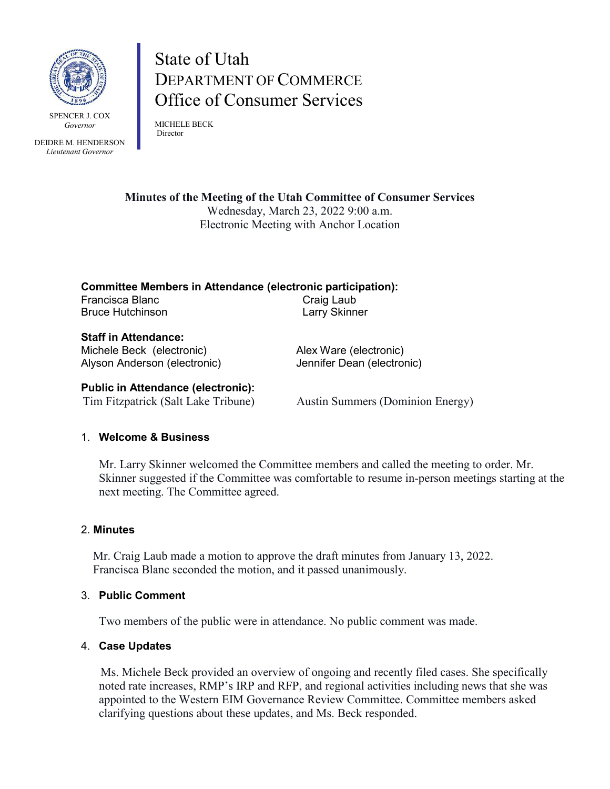

SPENCER J. COX *Governor*

DEIDRE M. HENDERSON *Lieutenant Governor*

# State of Utah DEPARTMENT OF COMMERCE Office of Consumer Services

MICHELE BECK Director

**Minutes of the Meeting of the Utah Committee of Consumer Services** Wednesday, March 23, 2022 9:00 a.m. Electronic Meeting with Anchor Location

**Committee Members in Attendance (electronic participation):** Francisca Blanc Craig Laub Bruce Hutchinson **Larry Skinner** 

**Staff in Attendance:** Michele Beck (electronic) Alex Ware (electronic) Alyson Anderson (electronic) Jennifer Dean (electronic)

## **Public in Attendance (electronic):**

Tim Fitzpatrick (Salt Lake Tribune) Austin Summers (Dominion Energy)

## 1. **Welcome & Business**

Mr. Larry Skinner welcomed the Committee members and called the meeting to order. Mr. Skinner suggested if the Committee was comfortable to resume in-person meetings starting at the next meeting. The Committee agreed.

## 2. **Minutes**

Mr. Craig Laub made a motion to approve the draft minutes from January 13, 2022. Francisca Blanc seconded the motion, and it passed unanimously.

## 3. **Public Comment**

Two members of the public were in attendance. No public comment was made.

## 4. **Case Updates**

Ms. Michele Beck provided an overview of ongoing and recently filed cases. She specifically noted rate increases, RMP's IRP and RFP, and regional activities including news that she was appointed to the Western EIM Governance Review Committee. Committee members asked clarifying questions about these updates, and Ms. Beck responded.